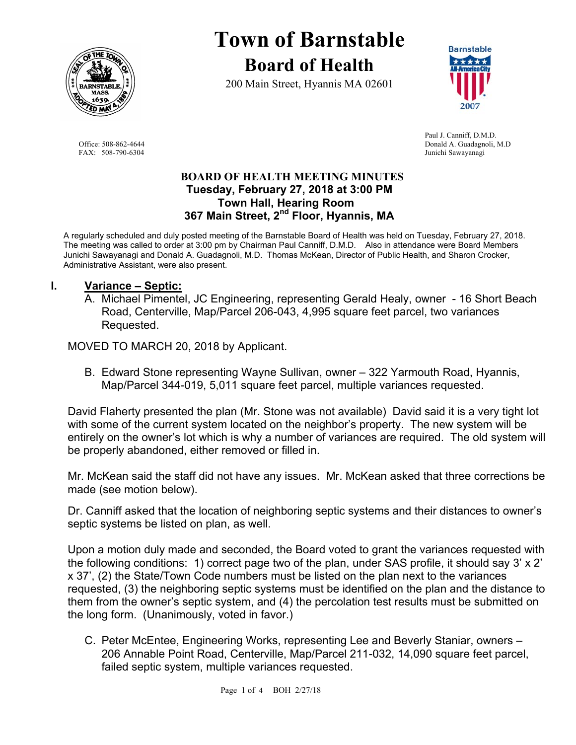

# **Town of Barnstable Board of Health**

200 Main Street, Hyannis MA 02601



 Paul J. Canniff, D.M.D. Office: 508-862-4644 Donald A. Guadagnoli, M.D FAX: 508-790-6304 Junichi Sawayanagi

### **BOARD OF HEALTH MEETING MINUTES Tuesday, February 27, 2018 at 3:00 PM Town Hall, Hearing Room 367 Main Street, 2nd Floor, Hyannis, MA**

A regularly scheduled and duly posted meeting of the Barnstable Board of Health was held on Tuesday, February 27, 2018. The meeting was called to order at 3:00 pm by Chairman Paul Canniff, D.M.D. Also in attendance were Board Members Junichi Sawayanagi and Donald A. Guadagnoli, M.D. Thomas McKean, Director of Public Health, and Sharon Crocker, Administrative Assistant, were also present.

# **I. Variance – Septic:**

A. Michael Pimentel, JC Engineering, representing Gerald Healy, owner - 16 Short Beach Road, Centerville, Map/Parcel 206-043, 4,995 square feet parcel, two variances Requested.

MOVED TO MARCH 20, 2018 by Applicant.

B. Edward Stone representing Wayne Sullivan, owner – 322 Yarmouth Road, Hyannis, Map/Parcel 344-019, 5,011 square feet parcel, multiple variances requested.

David Flaherty presented the plan (Mr. Stone was not available) David said it is a very tight lot with some of the current system located on the neighbor's property. The new system will be entirely on the owner's lot which is why a number of variances are required. The old system will be properly abandoned, either removed or filled in.

Mr. McKean said the staff did not have any issues. Mr. McKean asked that three corrections be made (see motion below).

Dr. Canniff asked that the location of neighboring septic systems and their distances to owner's septic systems be listed on plan, as well.

Upon a motion duly made and seconded, the Board voted to grant the variances requested with the following conditions: 1) correct page two of the plan, under SAS profile, it should say 3' x 2' x 37', (2) the State/Town Code numbers must be listed on the plan next to the variances requested, (3) the neighboring septic systems must be identified on the plan and the distance to them from the owner's septic system, and (4) the percolation test results must be submitted on the long form. (Unanimously, voted in favor.)

C. Peter McEntee, Engineering Works, representing Lee and Beverly Staniar, owners – 206 Annable Point Road, Centerville, Map/Parcel 211-032, 14,090 square feet parcel, failed septic system, multiple variances requested.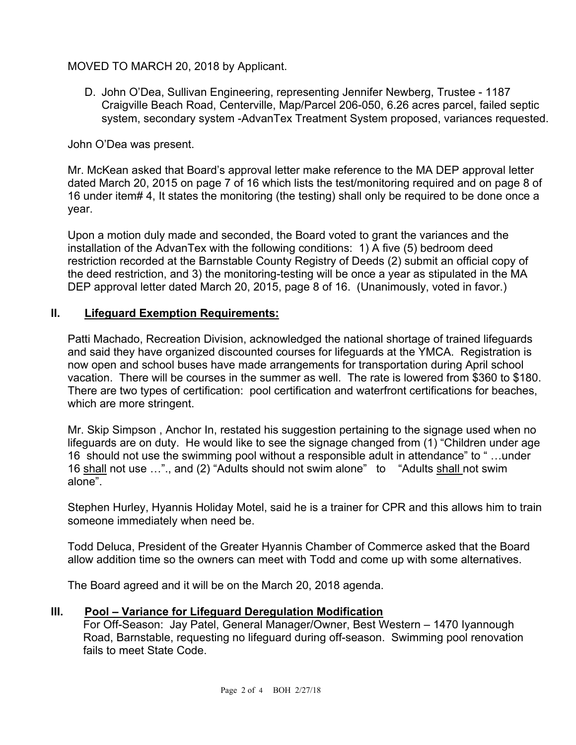# MOVED TO MARCH 20, 2018 by Applicant.

D. John O'Dea, Sullivan Engineering, representing Jennifer Newberg, Trustee - 1187 Craigville Beach Road, Centerville, Map/Parcel 206-050, 6.26 acres parcel, failed septic system, secondary system -AdvanTex Treatment System proposed, variances requested.

John O'Dea was present.

Mr. McKean asked that Board's approval letter make reference to the MA DEP approval letter dated March 20, 2015 on page 7 of 16 which lists the test/monitoring required and on page 8 of 16 under item# 4, It states the monitoring (the testing) shall only be required to be done once a year.

Upon a motion duly made and seconded, the Board voted to grant the variances and the installation of the AdvanTex with the following conditions: 1) A five (5) bedroom deed restriction recorded at the Barnstable County Registry of Deeds (2) submit an official copy of the deed restriction, and 3) the monitoring-testing will be once a year as stipulated in the MA DEP approval letter dated March 20, 2015, page 8 of 16. (Unanimously, voted in favor.)

### **II. Lifeguard Exemption Requirements:**

Patti Machado, Recreation Division, acknowledged the national shortage of trained lifeguards and said they have organized discounted courses for lifeguards at the YMCA. Registration is now open and school buses have made arrangements for transportation during April school vacation. There will be courses in the summer as well. The rate is lowered from \$360 to \$180. There are two types of certification: pool certification and waterfront certifications for beaches, which are more stringent.

Mr. Skip Simpson , Anchor In, restated his suggestion pertaining to the signage used when no lifeguards are on duty. He would like to see the signage changed from (1) "Children under age 16 should not use the swimming pool without a responsible adult in attendance" to " …under 16 shall not use …"., and (2) "Adults should not swim alone" to "Adults shall not swim alone".

Stephen Hurley, Hyannis Holiday Motel, said he is a trainer for CPR and this allows him to train someone immediately when need be.

Todd Deluca, President of the Greater Hyannis Chamber of Commerce asked that the Board allow addition time so the owners can meet with Todd and come up with some alternatives.

The Board agreed and it will be on the March 20, 2018 agenda.

### **III. Pool – Variance for Lifeguard Deregulation Modification**

For Off-Season: Jay Patel, General Manager/Owner, Best Western – 1470 Iyannough Road, Barnstable, requesting no lifeguard during off-season. Swimming pool renovation fails to meet State Code.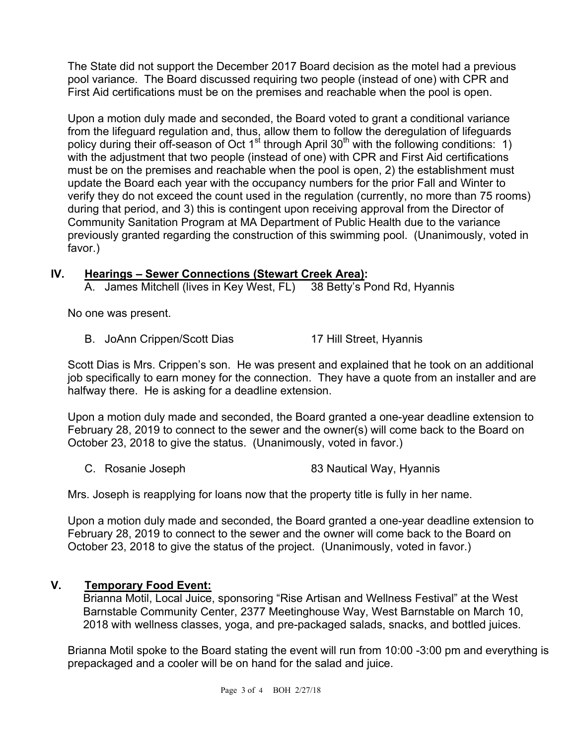The State did not support the December 2017 Board decision as the motel had a previous pool variance. The Board discussed requiring two people (instead of one) with CPR and First Aid certifications must be on the premises and reachable when the pool is open.

Upon a motion duly made and seconded, the Board voted to grant a conditional variance from the lifeguard regulation and, thus, allow them to follow the deregulation of lifeguards policy during their off-season of Oct  $1<sup>st</sup>$  through April 30<sup>th</sup> with the following conditions: 1) with the adjustment that two people (instead of one) with CPR and First Aid certifications must be on the premises and reachable when the pool is open, 2) the establishment must update the Board each year with the occupancy numbers for the prior Fall and Winter to verify they do not exceed the count used in the regulation (currently, no more than 75 rooms) during that period, and 3) this is contingent upon receiving approval from the Director of Community Sanitation Program at MA Department of Public Health due to the variance previously granted regarding the construction of this swimming pool. (Unanimously, voted in favor.)

# **IV. Hearings – Sewer Connections (Stewart Creek Area):**

A. James Mitchell (lives in Key West, FL) 38 Betty's Pond Rd, Hyannis

No one was present.

B. JoAnn Crippen/Scott Dias 17 Hill Street, Hyannis

Scott Dias is Mrs. Crippen's son. He was present and explained that he took on an additional job specifically to earn money for the connection. They have a quote from an installer and are halfway there. He is asking for a deadline extension.

Upon a motion duly made and seconded, the Board granted a one-year deadline extension to February 28, 2019 to connect to the sewer and the owner(s) will come back to the Board on October 23, 2018 to give the status. (Unanimously, voted in favor.)

C. Rosanie Joseph 83 Nautical Way, Hyannis

Mrs. Joseph is reapplying for loans now that the property title is fully in her name.

Upon a motion duly made and seconded, the Board granted a one-year deadline extension to February 28, 2019 to connect to the sewer and the owner will come back to the Board on October 23, 2018 to give the status of the project. (Unanimously, voted in favor.)

## **V. Temporary Food Event:**

Brianna Motil, Local Juice, sponsoring "Rise Artisan and Wellness Festival" at the West Barnstable Community Center, 2377 Meetinghouse Way, West Barnstable on March 10, 2018 with wellness classes, yoga, and pre-packaged salads, snacks, and bottled juices.

Brianna Motil spoke to the Board stating the event will run from 10:00 -3:00 pm and everything is prepackaged and a cooler will be on hand for the salad and juice.